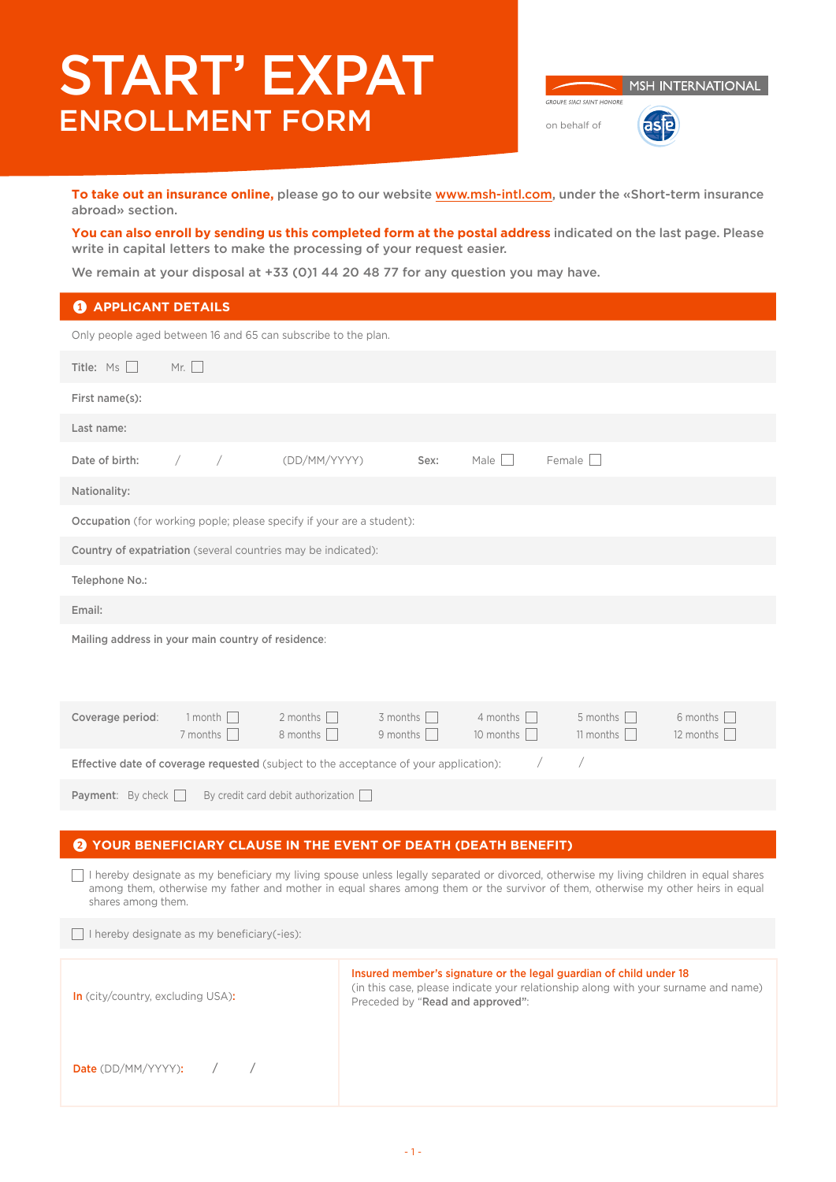# START' EXPAT ENROLLMENT FORM on behalf of

MSH INTERNATIONAL GROUPE SIACL SAINT HONORE asie

**To take out an insurance online,** please go to our website [www.msh-intl.com](https://www.msh-intl.com/fr/europe/particuliers/assurances-sante-particuliers-plus-d-un-an.html), under the «Short-term insurance abroad» section.

**You can also enroll by sending us this completed form at the postal address** indicated on the last page. Please write in capital letters to make the processing of your request easier.

We remain at your disposal at +33 (0)1 44 20 48 77 for any question you may have.

# **1** APPLICANT DETAILS

| Only people aged between 16 and 65 can subscribe to the plan.                                                            |            |                                   |                                                                       |                                      |                                     |                                     |                                     |
|--------------------------------------------------------------------------------------------------------------------------|------------|-----------------------------------|-----------------------------------------------------------------------|--------------------------------------|-------------------------------------|-------------------------------------|-------------------------------------|
| Title: $Ms$ $\Box$<br>Mr. $\Box$                                                                                         |            |                                   |                                                                       |                                      |                                     |                                     |                                     |
| First name(s):                                                                                                           |            |                                   |                                                                       |                                      |                                     |                                     |                                     |
| Last name:                                                                                                               |            |                                   |                                                                       |                                      |                                     |                                     |                                     |
| Date of birth:                                                                                                           | $\sqrt{2}$ | $\overline{\phantom{a}}$          | (DD/MM/YYYY)                                                          | Sex:                                 | Male $\Box$                         | Female                              |                                     |
| Nationality:                                                                                                             |            |                                   |                                                                       |                                      |                                     |                                     |                                     |
|                                                                                                                          |            |                                   | Occupation (for working pople; please specify if your are a student): |                                      |                                     |                                     |                                     |
| Country of expatriation (several countries may be indicated):                                                            |            |                                   |                                                                       |                                      |                                     |                                     |                                     |
| Telephone No.:                                                                                                           |            |                                   |                                                                       |                                      |                                     |                                     |                                     |
| Email:                                                                                                                   |            |                                   |                                                                       |                                      |                                     |                                     |                                     |
| Mailing address in your main country of residence:                                                                       |            |                                   |                                                                       |                                      |                                     |                                     |                                     |
| Coverage period:                                                                                                         |            | 1 month $\Box$<br>7 months $\Box$ | 2 months $\Box$<br>8 months $\Box$                                    | $3$ months $\Box$<br>9 months $\Box$ | 4 months $\Box$<br>10 months $\Box$ | 5 months $\Box$<br>11 months $\Box$ | 6 months $\Box$<br>12 months $\Box$ |
| $\sqrt{2}$<br>$\sqrt{2}$<br><b>Effective date of coverage requested</b> (subject to the acceptance of your application): |            |                                   |                                                                       |                                      |                                     |                                     |                                     |
| <b>Payment:</b> By check $\Box$<br>By credit card debit authorization $\Box$                                             |            |                                   |                                                                       |                                      |                                     |                                     |                                     |
|                                                                                                                          |            |                                   |                                                                       |                                      |                                     |                                     |                                     |

## 2 **YOUR BENEFICIARY CLAUSE IN THE EVENT OF DEATH (DEATH BENEFIT)**

 I hereby designate as my beneficiary my living spouse unless legally separated or divorced, otherwise my living children in equal shares among them, otherwise my father and mother in equal shares among them or the survivor of them, otherwise my other heirs in equal shares among them.

 $\Box$  I hereby designate as my beneficiary(-ies):

| <b>In</b> (city/country, excluding USA): | Insured member's signature or the legal guardian of child under 18<br>(in this case, please indicate your relationship along with your surname and name)<br>Preceded by "Read and approved": |
|------------------------------------------|----------------------------------------------------------------------------------------------------------------------------------------------------------------------------------------------|
| <b>Date</b> (DD/MM/YYYY): $\qquad$ /     |                                                                                                                                                                                              |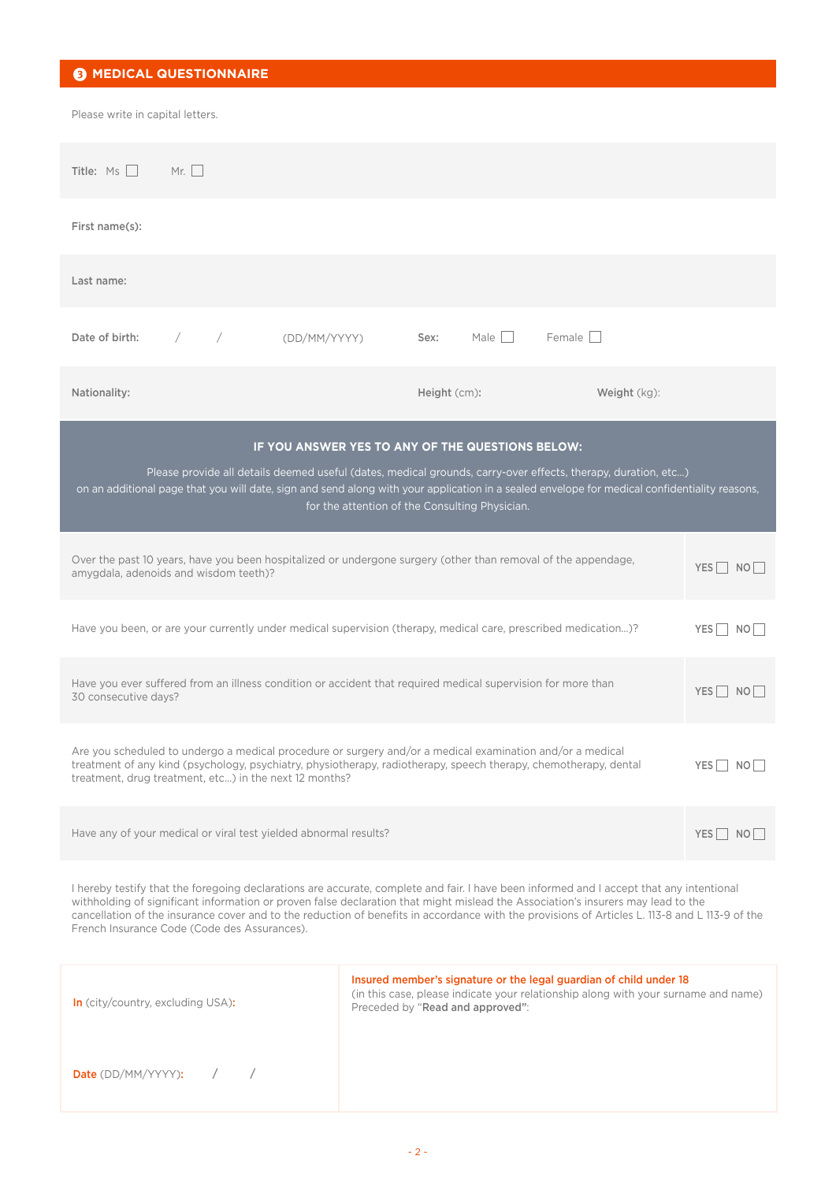| <b>8 MEDICAL QUESTIONNAIRE</b>                                                                                                                                                                                                                                                                                                                                                                                                                                                 |                                                                                                                                                                                              |              |                                          |  |
|--------------------------------------------------------------------------------------------------------------------------------------------------------------------------------------------------------------------------------------------------------------------------------------------------------------------------------------------------------------------------------------------------------------------------------------------------------------------------------|----------------------------------------------------------------------------------------------------------------------------------------------------------------------------------------------|--------------|------------------------------------------|--|
| Please write in capital letters.                                                                                                                                                                                                                                                                                                                                                                                                                                               |                                                                                                                                                                                              |              |                                          |  |
| Mr. $\Box$<br>Title: Ms                                                                                                                                                                                                                                                                                                                                                                                                                                                        |                                                                                                                                                                                              |              |                                          |  |
| First name(s):                                                                                                                                                                                                                                                                                                                                                                                                                                                                 |                                                                                                                                                                                              |              |                                          |  |
| Last name:                                                                                                                                                                                                                                                                                                                                                                                                                                                                     |                                                                                                                                                                                              |              |                                          |  |
| Date of birth:<br>$\sqrt{2}$<br>(DD/MM/YYYY)                                                                                                                                                                                                                                                                                                                                                                                                                                   | Male    <br>Sex:                                                                                                                                                                             | Female       |                                          |  |
| Nationality:                                                                                                                                                                                                                                                                                                                                                                                                                                                                   | Height (cm):                                                                                                                                                                                 | Weight (kg): |                                          |  |
|                                                                                                                                                                                                                                                                                                                                                                                                                                                                                |                                                                                                                                                                                              |              |                                          |  |
| IF YOU ANSWER YES TO ANY OF THE QUESTIONS BELOW:<br>Please provide all details deemed useful (dates, medical grounds, carry-over effects, therapy, duration, etc)<br>on an additional page that you will date, sign and send along with your application in a sealed envelope for medical confidentiality reasons,<br>for the attention of the Consulting Physician.                                                                                                           |                                                                                                                                                                                              |              |                                          |  |
| Over the past 10 years, have you been hospitalized or undergone surgery (other than removal of the appendage,<br>amygdala, adenoids and wisdom teeth)?                                                                                                                                                                                                                                                                                                                         |                                                                                                                                                                                              |              | $YES$ NO                                 |  |
| Have you been, or are your currently under medical supervision (therapy, medical care, prescribed medication)?                                                                                                                                                                                                                                                                                                                                                                 |                                                                                                                                                                                              |              | $YES \nightharpoonup NO$                 |  |
| Have you ever suffered from an illness condition or accident that required medical supervision for more than<br>30 consecutive days?                                                                                                                                                                                                                                                                                                                                           |                                                                                                                                                                                              |              | $YES \nightharpoonup NO \nightharpoonup$ |  |
| Are you scheduled to undergo a medical procedure or surgery and/or a medical examination and/or a medical<br>treatment of any kind (psychology, psychiatry, physiotherapy, radiotherapy, speech therapy, chemotherapy, dental<br>treatment, drug treatment, etc) in the next 12 months?                                                                                                                                                                                        |                                                                                                                                                                                              |              | $YES$ NO                                 |  |
| Have any of your medical or viral test yielded abnormal results?<br>$YES \nightharpoonup NO$                                                                                                                                                                                                                                                                                                                                                                                   |                                                                                                                                                                                              |              |                                          |  |
| I hereby testify that the foregoing declarations are accurate, complete and fair. I have been informed and I accept that any intentional<br>withholding of significant information or proven false declaration that might mislead the Association's insurers may lead to the<br>cancellation of the insurance cover and to the reduction of benefits in accordance with the provisions of Articles L. 113-8 and L 113-9 of the<br>French Insurance Code (Code des Assurances). |                                                                                                                                                                                              |              |                                          |  |
| In (city/country, excluding USA):                                                                                                                                                                                                                                                                                                                                                                                                                                              | Insured member's signature or the legal guardian of child under 18<br>(in this case, please indicate your relationship along with your surname and name)<br>Preceded by "Read and approved": |              |                                          |  |
| $\sqrt{2}$<br>Date (DD/MM/YYYY):<br>$\sqrt{2}$                                                                                                                                                                                                                                                                                                                                                                                                                                 |                                                                                                                                                                                              |              |                                          |  |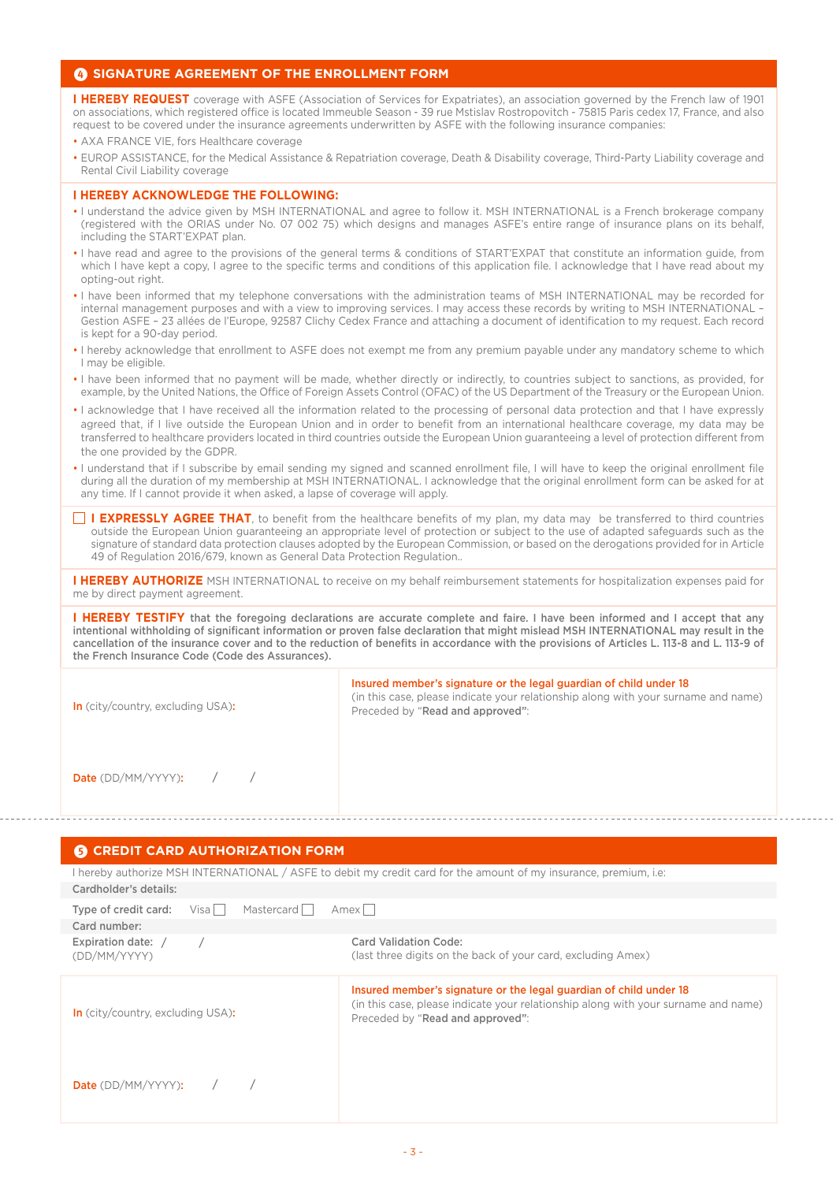## 4 **SIGNATURE AGREEMENT OF THE ENROLLMENT FORM**

**I HEREBY REQUEST** coverage with ASFE (Association of Services for Expatriates), an association governed by the French law of 1901 on associations, which registered office is located Immeuble Season - 39 rue Mstislav Rostropovitch - 75815 Paris cedex 17, France, and also request to be covered under the insurance agreements underwritten by ASFE with the following insurance companies:

• AXA FRANCE VIE, fors Healthcare coverage

• EUROP ASSISTANCE, for the Medical Assistance & Repatriation coverage, Death & Disability coverage, Third-Party Liability coverage and Rental Civil Liability coverage

#### **I HEREBY ACKNOWLEDGE THE FOLLOWING:**

- I understand the advice given by MSH INTERNATIONAL and agree to follow it. MSH INTERNATIONAL is a French brokerage company (registered with the ORIAS under No. 07 002 75) which designs and manages ASFE's entire range of insurance plans on its behalf, including the START'EXPAT plan.
- I have read and agree to the provisions of the general terms & conditions of START'EXPAT that constitute an information guide, from which I have kept a copy, I agree to the specific terms and conditions of this application file. I acknowledge that I have read about my opting-out right.
- I have been informed that my telephone conversations with the administration teams of MSH INTERNATIONAL may be recorded for internal management purposes and with a view to improving services. I may access these records by writing to MSH INTERNATIONAL – Gestion ASFE – 23 allées de l'Europe, 92587 Clichy Cedex France and attaching a document of identification to my request. Each record is kept for a 90-day period.
- I hereby acknowledge that enrollment to ASFE does not exempt me from any premium payable under any mandatory scheme to which I may be eligible.
- I have been informed that no payment will be made, whether directly or indirectly, to countries subject to sanctions, as provided, for example, by the United Nations, the Office of Foreign Assets Control (OFAC) of the US Department of the Treasury or the European Union.
- I acknowledge that I have received all the information related to the processing of personal data protection and that I have expressly agreed that, if I live outside the European Union and in order to benefit from an international healthcare coverage, my data may be transferred to healthcare providers located in third countries outside the European Union guaranteeing a level of protection different from the one provided by the GDPR.
- I understand that if I subscribe by email sending my signed and scanned enrollment file, I will have to keep the original enrollment file during all the duration of my membership at MSH INTERNATIONAL. I acknowledge that the original enrollment form can be asked for at any time. If I cannot provide it when asked, a lapse of coverage will apply.
- **I EXPRESSLY AGREE THAT**, to benefit from the healthcare benefits of my plan, my data may be transferred to third countries outside the European Union guaranteeing an appropriate level of protection or subject to the use of adapted safeguards such as the signature of standard data protection clauses adopted by the European Commission, or based on the derogations provided for in Article 49 of Regulation 2016/679, known as General Data Protection Regulation..

**I HEREBY AUTHORIZE** MSH INTERNATIONAL to receive on my behalf reimbursement statements for hospitalization expenses paid for me by direct payment agreement.

**I HEREBY TESTIFY** that the foregoing declarations are accurate complete and faire. I have been informed and I accept that any intentional withholding of significant information or proven false declaration that might mislead MSH INTERNATIONAL may result in the cancellation of the insurance cover and to the reduction of benefits in accordance with the provisions of Articles L. 113-8 and L. 113-9 of the French Insurance Code (Code des Assurances).

| <b>In</b> (city/country, excluding USA): | Insured member's signature or the legal guardian of child under 18<br>(in this case, please indicate your relationship along with your surname and name)<br>Preceded by "Read and approved": |
|------------------------------------------|----------------------------------------------------------------------------------------------------------------------------------------------------------------------------------------------|
| <b>Date</b> (DD/MM/YYYY): $\qquad$ /     |                                                                                                                                                                                              |

### **6** CREDIT CARD AUTHORIZATION FORM

I hereby authorize MSH INTERNATIONAL / ASFE to debit my credit card for the amount of my insurance, premium, i.e: Cardholder's details:

| Type of credit card:               | Visa | Mastercard | Amexl                                                                                                                                                                                        |
|------------------------------------|------|------------|----------------------------------------------------------------------------------------------------------------------------------------------------------------------------------------------|
| Card number:                       |      |            |                                                                                                                                                                                              |
| Expiration date: /<br>(DD/MM/YYYY) |      |            | Card Validation Code:<br>(last three digits on the back of your card, excluding Amex)                                                                                                        |
| In (city/country, excluding USA):  |      |            | Insured member's signature or the legal guardian of child under 18<br>(in this case, please indicate your relationship along with your surname and name)<br>Preceded by "Read and approved": |
| <b>Date</b> (DD/MM/YYYY):          |      |            |                                                                                                                                                                                              |